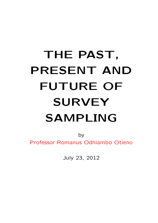# <span id="page-0-0"></span>THE PAST, PRESENT AND FUTURE OF SURVEY SAMPLING

by Professor Romanus Odhiambo Otieno

July 23, 2012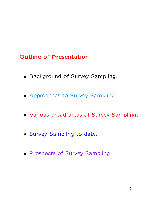#### Outline of Presentation

- Background of Survey Sampling.
- Approaches to Survey Sampling.
- Various broad areas of Survey Sampling.
- Survey Sampling to date.
- Prospects of Survey Sampling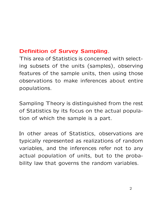# Definition of Survey Sampling.

This area of Statistics is concerned with selecting subsets of the units (samples), observing features of the sample units, then using those observations to make inferences about entire populations.

Sampling Theory is distinguished from the rest of Statistics by its focus on the actual population of which the sample is a part.

In other areas of Statistics, observations are typically represented as realizations of random variables, and the inferences refer not to any actual population of units, but to the probability law that governs the random variables.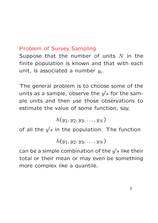## Problem of Survey Sampling

Suppose that the number of units  $N$  in the finite population is known and that with each unit, is associated a number  $y_i$ .

The general problem is to choose some of the units as a sample, observe the  $y's$  for the sample units and then use those observations to estimate the value of some function, say,

 $h(y_1, y_2, y_3, \ldots, y_N)$ 

of all the  $y^\prime s$  in the population. The function

$$
h(y_1,y_2,y_3,\ldots,y_N)
$$

can be a simple combination of the  $y^\prime s$  like their total or their mean or may even be something more complex like a quantile.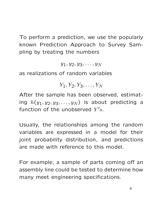To perform a prediction, we use the popularly known Prediction Approach to Survey Sampling by treating the numbers

 $y_1, y_2, y_3, \ldots, y_N$ 

as realizations of random variables

 $Y_1, Y_2, Y_3, \ldots, Y_N$ 

After the sample has been observed, estimating  $h(y_1, y_2, y_3, \ldots, y_N)$  is about predicting a function of the unobserved  $Y^{\prime}s.$ 

Usually, the relationships among the random variables are expressed in a model for their joint probability distribution, and predictions are made with reference to this model.

For example, a sample of parts coming off an assembly line could be tested to determine how many meet engineering specifications.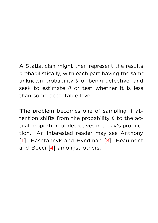# A Statistician might then represent the results probabilistically, with each part having the same unknown probability  $\theta$  of being defective, and seek to estimate  $\theta$  or test whether it is less than some acceptable level.

The problem becomes one of sampling if attention shifts from the probability  $\theta$  to the actual proportion of detectives in a day's production. An interested reader may see Anthony [\[1\]](#page-0-0), Bashtannyk and Hyndman [[3\]](#page-0-0), Beaumont and Bocci [\[4\]](#page-0-0) amongst others.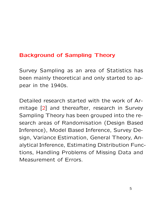#### Background of Sampling Theory

Survey Sampling as an area of Statistics has been mainly theoretical and only started to appear in the 1940s.

Detailed research started with the work of Armitage [\[2\]](#page-0-0) and thereafter, research in Survey Sampling Theory has been grouped into the research areas of Randomisation (Design Based Inference), Model Based Inference, Survey Design, Variance Estimation, General Theory, Analytical Inference, Estimating Distribution Functions, Handling Problems of Missing Data and Measurement of Errors.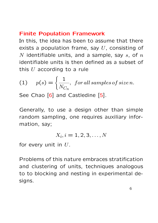#### <span id="page-7-0"></span>Finite Population Framework

In this, the idea has been to assume that there exists a population frame, say  $U$ , consisting of N identifiable units, and a sample, say  $s$ , of  $n$ identifiable units is then defined as a subset of this  $U$  according to a rule

(1) 
$$
p(s) = \left\{ \frac{1}{N_{C_n}}, \text{ for all samples of size } n \right\}
$$

See Chao [[6](#page-0-0)] and Castledine [[5\]](#page-0-0).

Generally, to use a design other than simple random sampling, one requires auxiliary information, say;

$$
X_i, i = 1, 2, 3, \ldots, N
$$

for every unit in  $U$ .

Problems of this nature embraces stratification and clustering of units, techniques analogous to to blocking and nesting in experimental designs.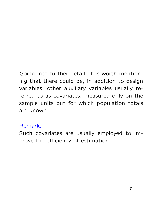# Going into further detail, it is worth mentioning that there could be, in addition to design variables, other auxiliary variables usually referred to as covariates, measured only on the sample units but for which population totals are known.

#### Remark.

Such covariates are usually employed to improve the efficiency of estimation.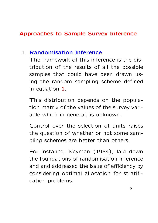## Approaches to Sample Survey Inference

#### 1. Randomisation Inference

The framework of this inference is the distribution of the results of all the possible samples that could have been drawn using the random sampling scheme defined in equation [1.](#page-7-0)

This distribution depends on the population matrix of the values of the survey variable which in general, is unknown.

Control over the selection of units raises the question of whether or not some sampling schemes are better than others.

For instance, Neyman (1934), laid down the foundations of randomisation inference and and addressed the issue of efficiency by considering optimal allocation for stratification problems.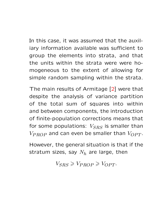In this case, it was assumed that the auxiliary information available was sufficient to group the elements into strata, and that the units within the strata were were homogeneous to the extent of allowing for simple random sampling within the strata.

The main results of Armitage [[2](#page-0-0)] were that despite the analysis of variance partition of the total sum of squares into within and between components, the introduction of finite-population corrections means that for some populations:  $V_{SRS}$  is smaller than  $V_{PROP}$  and can even be smaller than  $V_{OPT}$ .

However, the general situation is that if the stratum sizes, say  $N_h$  are large, then

 $V_{SBS} \geqslant V_{PROP} \geqslant V_{OPT}.$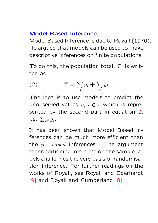#### 2. Model Based Inference

Model Based Inference is due to Royall (1970). He argued that models can be used to make descriptive inferences on finite populations.

To do this, the population total,  $T$ , is written as

$$
(2) \t\t T = \sum_{s} y_i + \sum_{s^c} y_i
$$

The idea is to use models to predict the unobserved values  $y_i, i \notin s$  which is represented by the second part in equation 2, i.e.  $\sum_{s} cy_i$ .

It has been shown that Model Based inferences can be much more efficient than the  $p - based$  inferences. The argument for conditioning inference on the sample labels challenges the very basis of randomisation inference. For further readings on the works of Royall, see Royall and Eberhardt [\[9\]](#page-0-0) and Royall and Cumberland [[8](#page-0-0)].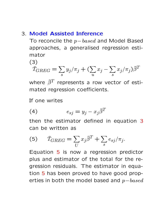#### 3. Model Assisted Inference

To reconcile the  $p-based$  and Model Based approaches, a generalised regression estimator

(3)

$$
\hat{T}_{GREG} = \sum_{s} y_j / \pi_j + (\sum_{u} x_j - \sum_{s} x_j / \pi_j) \hat{\beta}^T
$$

where  $\widehat{\beta}^T$  represents a row vector of estimated regression coefficients.

If one writes

$$
(4) \t\t e_{sj} = y_j - x_j \hat{\beta}^T
$$

then the estimator defined in equation 3 can be written as

(5) 
$$
\widehat{T}_{GREG} = \sum_{U} x_j \widehat{\beta}^T + \sum_{s} e_{sj} / \pi_j.
$$

Equation 5 is now a regression predictor plus and estimator of the total for the regression residuals. The estimator in equation 5 has been proved to have good properties in both the model based and  $p-based$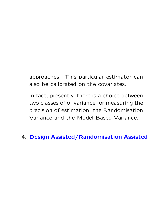approaches. This particular estimator can also be calibrated on the covariates.

In fact, presently, there is a choice between two classes of of variance for measuring the precision of estimation, the Randomisation Variance and the Model Based Variance.

### 4. Design Assisted/Randomisation Assisted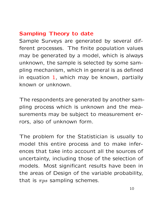# Sampling Theory to date

Sample Surveys are generated by several different processes. The finite population values may be generated by a model, which is always unknown, the sample is selected by some sampling mechanism, which in general is as defined in equation  $1$ , which may be known, partially known or unknown.

The respondents are generated by another sampling process which is unknown and the measurements may be subject to measurement errors, also of unknown form.

The problem for the Statistician is usually to model this entire process and to make inferences that take into account all the sources of uncertainty, including those of the selection of models. Most significant results have been in the areas of Design of the variable probability, that is  $\pi ps$  sampling schemes.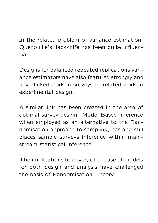In the related problem of variance estimation, Quenouille's Jackknife has been quite influential.

Designs for balanced repeated replications variance estimators have also featured strongly and have linked work in surveys to related work in experimental design.

A similar link has been created in the area of optimal survey design. Model Based inference when employed as an alternative to the Randomisation approach to sampling, has and still places sample surveys inference within mainstream statistical inference.

The implications however, of the use of models for both design and analysis have challenged the basis of Randomisation Theory.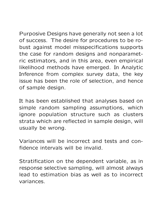Purposive Designs have generally not seen a lot of success. The desire for procedures to be robust against model misspecifications supports the case for random designs and nonparametric estimators, and in this area, even empirical likelihood methods have emerged. In Analytic Inference from complex survey data, the key issue has been the role of selection, and hence of sample design.

It has been established that analyses based on simple random sampling assumptions, which ignore population structure such as clusters strata which are reflected in sample design, will usually be wrong.

Variances will be incorrect and tests and confidence intervals will be invalid.

Stratification on the dependent variable, as in response selective sampling, will almost always lead to estimation bias as well as to incorrect variances.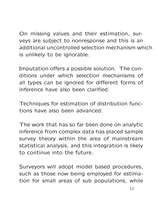On missing values and their estimation, surveys are subject to nonresponse and this is an additional uncontrolled selection mechanism which is unlikely to be ignorable.

Imputation offers a possible solution. The conditions under which selection mechanisms of all types can be ignored for different forms of inference have also been clarified.

Techniques for estimation of distribution functions have also been advanced.

The work that has so far been done on analytic inference from complex data has placed sample survey theory within the area of mainstream statistical analysis, and this integration is likely to continue into the future.

Surveyors will adopt model based procedures, such as those now being employed for estimation for small areas of sub populations, while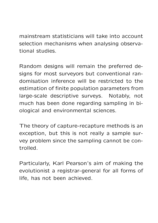mainstream statisticians will take into account selection mechanisms when analysing observational studies.

Random designs will remain the preferred designs for most surveyors but conventional randomisation inference will be restricted to the estimation of finite population parameters from large-scale descriptive surveys. Notably, not much has been done regarding sampling in biological and environmental sciences.

The theory of capture-recapture methods is an exception, but this is not really a sample survey problem since the sampling cannot be controlled.

Particularly, Karl Pearson's aim of making the evolutionist a registrar-general for all forms of life, has not been achieved.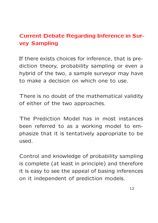# Current Debate Regarding Inference in Survey Sampling

If there exists choices for inference, that is prediction theory, probability sampling or even a hybrid of the two, a sample surveyor may have to make a decision on which one to use.

There is no doubt of the mathematical validity of either of the two approaches.

The Prediction Model has in most instances been referred to as a working model to emphasize that it is tentatively appropriate to be used.

Control and knowledge of probability sampling is complete (at least in principle) and therefore it is easy to see the appeal of basing inferences on it independent of prediction models.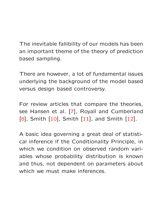The inevitable fallibility of our models has been an important theme of the theory of prediction based sampling.

There are however, a lot of fundamental issues underlying the background of the model based versus design based controversy.

For review articles that compare the theories, see Hansen et al. [[7](#page-0-0)], Royall and Cumberland  $[8]$ , Smith  $[10]$  $[10]$ , Smith  $[11]$  $[11]$ , and Smith  $[12]$  $[12]$ .

A basic idea governing a great deal of statistical inference if the Conditionality Principle, in which we condition on observed random variables whose probability distribution is known and thus, not dependent on parameters about which we must make inferences.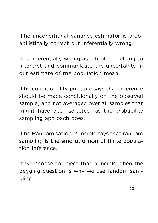The unconditional variance estimator is probabilistically correct but inferentially wrong.

It is inferentially wrong as a tool for helping to interpret and communicate the uncertainty in our estimate of the population mean.

The conditionality principle says that inference should be made conditionally on the observed sample, and not averaged over all samples that might have been selected, as the probability sampling approach does.

The Randomisation Principle says that random sampling is the sine quo non of finite population inference.

If we choose to reject that principle, then the begging question is why we use random sampling.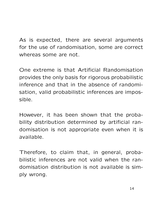As is expected, there are several arguments for the use of randomisation, some are correct whereas some are not.

One extreme is that Artificial Randomisation provides the only basis for rigorous probabilistic inference and that in the absence of randomisation, valid probabilistic inferences are impossible.

However, it has been shown that the probability distribution determined by artificial randomisation is not appropriate even when it is available.

Therefore, to claim that, in general, probabilistic inferences are not valid when the randomisation distribution is not available is simply wrong.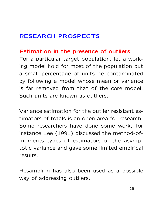# RESEARCH PROSPECTS

#### Estimation in the presence of outliers

For a particular target population, let a working model hold for most of the population but a small percentage of units be contaminated by following a model whose mean or variance is far removed from that of the core model. Such units are known as outliers.

Variance estimation for the outlier resistant estimators of totals is an open area for research. Some researchers have done some work, for instance Lee (1991) discussed the method-ofmoments types of estimators of the asymptotic variance and gave some limited empirical results.

Resampling has also been used as a possible way of addressing outliers.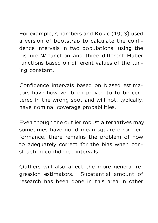For example, Chambers and Kokic (1993) used

a version of bootstrap to calculate the confidence intervals in two populations, using the bisqure Ψ-function and three different Huber functions based on different values of the tuning constant.

Confidence intervals based on biased estimators have however been proved to to be centered in the wrong spot and will not, typically, have nominal coverage probabilities.

Even though the outlier robust alternatives may sometimes have good mean square error performance, there remains the problem of how to adequately correct for the bias when constructing confidence intervals.

Outliers will also affect the more general regression estimators. Substantial amount of research has been done in this area in other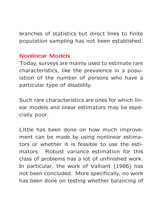branches of statistics but direct links to finite population sampling has not been established.

#### Nonlinear Models

Today, surveys are mainly used to estimate rare characteristics, like the prevalence in a population of the number of persons who have a particular type of disability.

Such rare characteristics are ones for which linear models and linear estimators may be especially poor.

Little has been done on how much improvement can be made by using nonlinear estimators or whether it is feasible to use the estimators. Robust variance estimation for this class of problems has a lot of unfinished work. In particular, the work of Valliant (1986) has not been concluded. More specifically, no work has been done on testing whether balancing of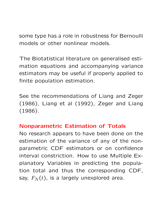some type has a role in robustness for Bernoulli models or other nonlinear models.

The Biotatistical literature on generalised estimation equations and accompanying variance estimators may be useful if properly applied to finite population estimation.

See the recommendations of Liang and Zeger (1986), Liang et al (1992), Zeger and Liang (1986).

#### Nonparametric Estimation of Totals

No research appears to have been done on the estimation of the variance of any of the nonparametric CDF estimators or on confidence interval constriction. How to use Multiple Explanatory Variables in predicting the population total and thus the corresponding CDF, say,  $F_N(t)$ , is a largely unexplored area.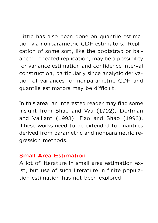Little has also been done on quantile estimation via nonparametric CDF estimators. Replication of some sort, like the bootstrap or balanced repeated replication, may be a possibility for variance estimation and confidence interval construction, particularly since analytic derivation of variances for nonparametric CDF and quantile estimators may be difficult.

In this area, an interested reader may find some insight from Shao and Wu (1992), Dorfman and Valliant (1993), Rao and Shao (1993). These works need to be extended to quantiles derived from parametric and nonparametric regression methods.

#### Small Area Estimation

A lot of literature in small area estimation exist, but use of such literature in finite population estimation has not been explored.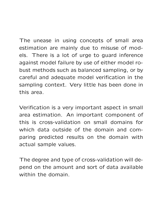The unease in using concepts of small area estimation are mainly due to misuse of models. There is a lot of urge to guard inference against model failure by use of either model robust methods such as balanced sampling, or by careful and adequate model verification in the sampling context. Very little has been done in this area.

Verification is a very important aspect in small area estimation. An important component of this is cross-validation on small domains for which data outside of the domain and comparing predicted results on the domain with actual sample values.

The degree and type of cross-validation will depend on the amount and sort of data available within the domain.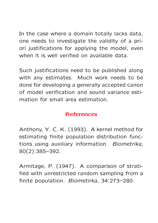In the case where a domain totally lacks data, one needs to investigate the validity of a priori justifications for applying the model, even when it is well verified on available data.

Such justifications need to be published along with any estimates. Much work needs to be done for developing a generally accepted canon of model verification and sound variance estimation for small area estimation.

#### References

Anthony, Y. C. K. (1993). A kernel method for estimating finite population distribution functions using auxiliary information. Biometrika, 80(2):385–392.

Armitage, P. (1947). A comparison of stratified with unrestricted random sampling from a finite population. Biometirka, 34:273–280.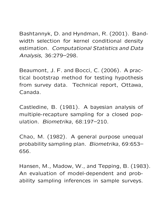Bashtannyk, D. and Hyndman, R. (2001). Bandwidth selection for kernel conditional density estimation. Computational Statistics and Data Analysis, 36:279–298.

Beaumont, J. F. and Bocci, C. (2006). A practical bootstrap method for testing hypothesis from survey data. Technical report, Ottawa, Canada.

Castledine, B. (1981). A bayesian analysis of multiple-recapture sampling for a closed population. Biometrika, 68:197–210.

Chao, M. (1982). A general purpose unequal probability sampling plan. Biometrika, 69:653– 656.

Hansen, M., Madow, W., and Tepping, B. (1983). An evaluation of model-dependent and probability sampling inferences in sample surveys.